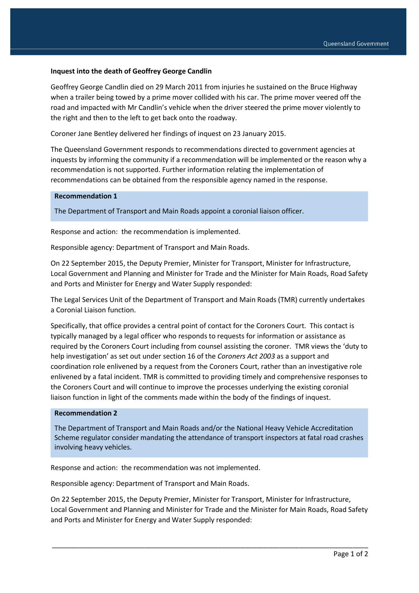## **Inquest into the death of Geoffrey George Candlin**

Geoffrey George Candlin died on 29 March 2011 from injuries he sustained on the Bruce Highway when a trailer being towed by a prime mover collided with his car. The prime mover veered off the road and impacted with Mr Candlin's vehicle when the driver steered the prime mover violently to the right and then to the left to get back onto the roadway.

Coroner Jane Bentley delivered her findings of inquest on 23 January 2015.

The Queensland Government responds to recommendations directed to government agencies at inquests by informing the community if a recommendation will be implemented or the reason why a recommendation is not supported. Further information relating the implementation of recommendations can be obtained from the responsible agency named in the response.

## **Recommendation 1**

The Department of Transport and Main Roads appoint a coronial liaison officer.

Response and action: the recommendation is implemented.

Responsible agency: Department of Transport and Main Roads.

On 22 September 2015, the Deputy Premier, Minister for Transport, Minister for Infrastructure, Local Government and Planning and Minister for Trade and the Minister for Main Roads, Road Safety and Ports and Minister for Energy and Water Supply responded:

The Legal Services Unit of the Department of Transport and Main Roads (TMR) currently undertakes a Coronial Liaison function.

Specifically, that office provides a central point of contact for the Coroners Court. This contact is typically managed by a legal officer who responds to requests for information or assistance as required by the Coroners Court including from counsel assisting the coroner. TMR views the 'duty to help investigation' as set out under section 16 of the *Coroners Act 2003* as a support and coordination role enlivened by a request from the Coroners Court, rather than an investigative role enlivened by a fatal incident. TMR is committed to providing timely and comprehensive responses to the Coroners Court and will continue to improve the processes underlying the existing coronial liaison function in light of the comments made within the body of the findings of inquest.

## **Recommendation 2**

The Department of Transport and Main Roads and/or the National Heavy Vehicle Accreditation Scheme regulator consider mandating the attendance of transport inspectors at fatal road crashes involving heavy vehicles.

Response and action: the recommendation was not implemented.

Responsible agency: Department of Transport and Main Roads.

On 22 September 2015, the Deputy Premier, Minister for Transport, Minister for Infrastructure, Local Government and Planning and Minister for Trade and the Minister for Main Roads, Road Safety and Ports and Minister for Energy and Water Supply responded:

\_\_\_\_\_\_\_\_\_\_\_\_\_\_\_\_\_\_\_\_\_\_\_\_\_\_\_\_\_\_\_\_\_\_\_\_\_\_\_\_\_\_\_\_\_\_\_\_\_\_\_\_\_\_\_\_\_\_\_\_\_\_\_\_\_\_\_\_\_\_\_\_\_\_\_\_\_\_\_\_\_\_